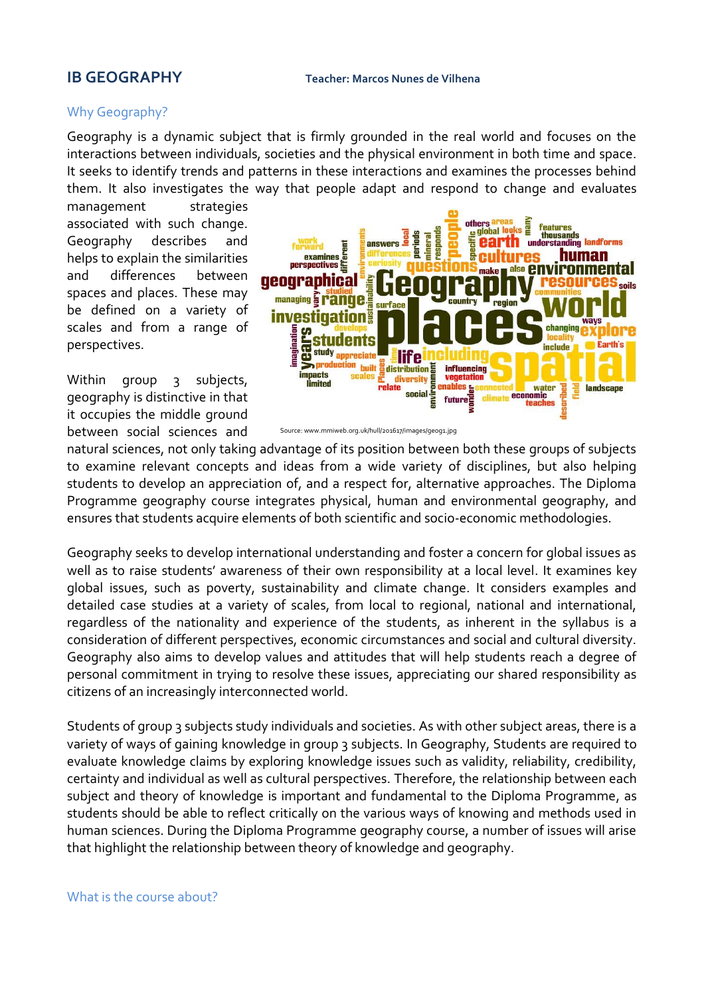## Why Geography?

Geography is a dynamic subject that is firmly grounded in the real world and focuses on the interactions between individuals, societies and the physical environment in both time and space. It seeks to identify trends and patterns in these interactions and examines the processes behind them. It also investigates the way that people adapt and respond to change and evaluates

management strategies associated with such change. Geography describes and helps to explain the similarities and differences between spaces and places. These may be defined on a variety of scales and from a range of perspectives.

Within group 3 subjects, geography is distinctive in that it occupies the middle ground between social sciences and



Source: www.mmiweb.org.uk/hull/201617/images/geog1.jpg

natural sciences, not only taking advantage of its position between both these groups of subjects to examine relevant concepts and ideas from a wide variety of disciplines, but also helping students to develop an appreciation of, and a respect for, alternative approaches. The Diploma Programme geography course integrates physical, human and environmental geography, and ensures that students acquire elements of both scientific and socio-economic methodologies.

Geography seeks to develop international understanding and foster a concern for global issues as well as to raise students' awareness of their own responsibility at a local level. It examines key global issues, such as poverty, sustainability and climate change. It considers examples and detailed case studies at a variety of scales, from local to regional, national and international, regardless of the nationality and experience of the students, as inherent in the syllabus is a consideration of different perspectives, economic circumstances and social and cultural diversity. Geography also aims to develop values and attitudes that will help students reach a degree of personal commitment in trying to resolve these issues, appreciating our shared responsibility as citizens of an increasingly interconnected world.

Students of group 3 subjects study individuals and societies. As with other subject areas, there is a variety of ways of gaining knowledge in group 3 subjects. In Geography, Students are required to evaluate knowledge claims by exploring knowledge issues such as validity, reliability, credibility, certainty and individual as well as cultural perspectives. Therefore, the relationship between each subject and theory of knowledge is important and fundamental to the Diploma Programme, as students should be able to reflect critically on the various ways of knowing and methods used in human sciences. During the Diploma Programme geography course, a number of issues will arise that highlight the relationship between theory of knowledge and geography.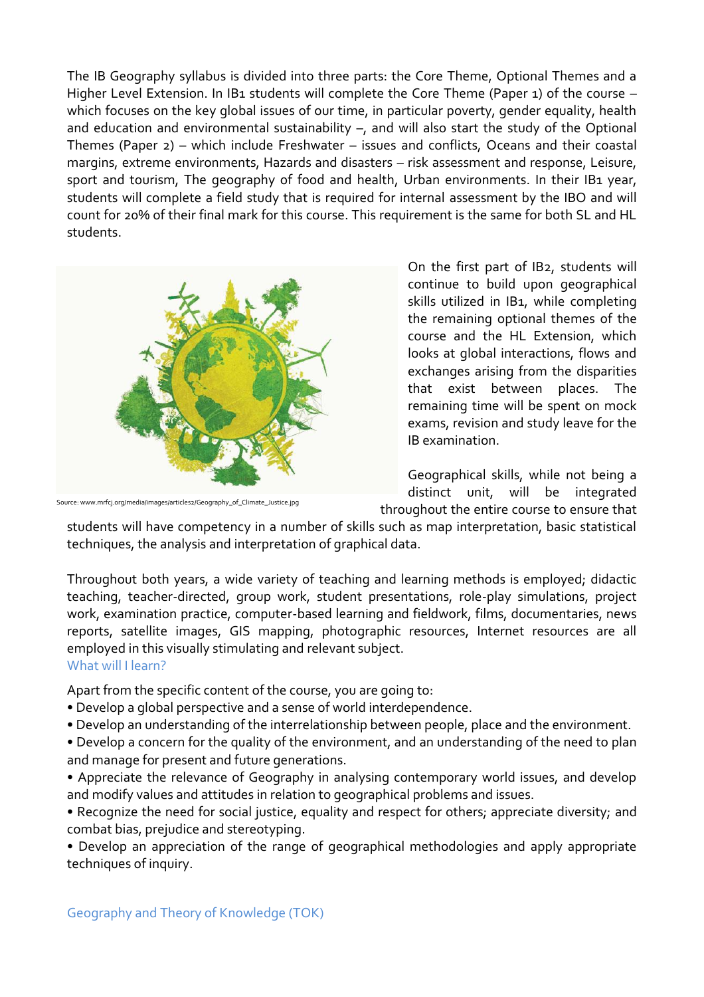The IB Geography syllabus is divided into three parts: the Core Theme, Optional Themes and a Higher Level Extension. In IB1 students will complete the Core Theme (Paper 1) of the course which focuses on the key global issues of our time, in particular poverty, gender equality, health and education and environmental sustainability –, and will also start the study of the Optional Themes (Paper 2) – which include Freshwater – issues and conflicts, Oceans and their coastal margins, extreme environments, Hazards and disasters – risk assessment and response, Leisure, sport and tourism, The geography of food and health, Urban environments. In their IB1 year, students will complete a field study that is required for internal assessment by the IBO and will count for 20% of their final mark for this course. This requirement is the same for both SL and HL students.



Source: www.mrfcj.org/media/images/articles2/Geography\_of\_Climate\_Justice.jpg

On the first part of IB2, students will continue to build upon geographical skills utilized in IB1, while completing the remaining optional themes of the course and the HL Extension, which looks at global interactions, flows and exchanges arising from the disparities that exist between places. The remaining time will be spent on mock exams, revision and study leave for the IB examination.

Geographical skills, while not being a distinct unit, will be integrated throughout the entire course to ensure that

students will have competency in a number of skills such as map interpretation, basic statistical techniques, the analysis and interpretation of graphical data.

Throughout both years, a wide variety of teaching and learning methods is employed; didactic teaching, teacher-directed, group work, student presentations, role-play simulations, project work, examination practice, computer-based learning and fieldwork, films, documentaries, news reports, satellite images, GIS mapping, photographic resources, Internet resources are all employed in this visually stimulating and relevant subject. What will I learn?

Apart from the specific content of the course, you are going to:

- Develop a global perspective and a sense of world interdependence.
- Develop an understanding of the interrelationship between people, place and the environment.
- Develop a concern for the quality of the environment, and an understanding of the need to plan and manage for present and future generations.
- Appreciate the relevance of Geography in analysing contemporary world issues, and develop and modify values and attitudes in relation to geographical problems and issues.

• Recognize the need for social justice, equality and respect for others; appreciate diversity; and combat bias, prejudice and stereotyping.

• Develop an appreciation of the range of geographical methodologies and apply appropriate techniques of inquiry.

Geography and Theory of Knowledge (TOK)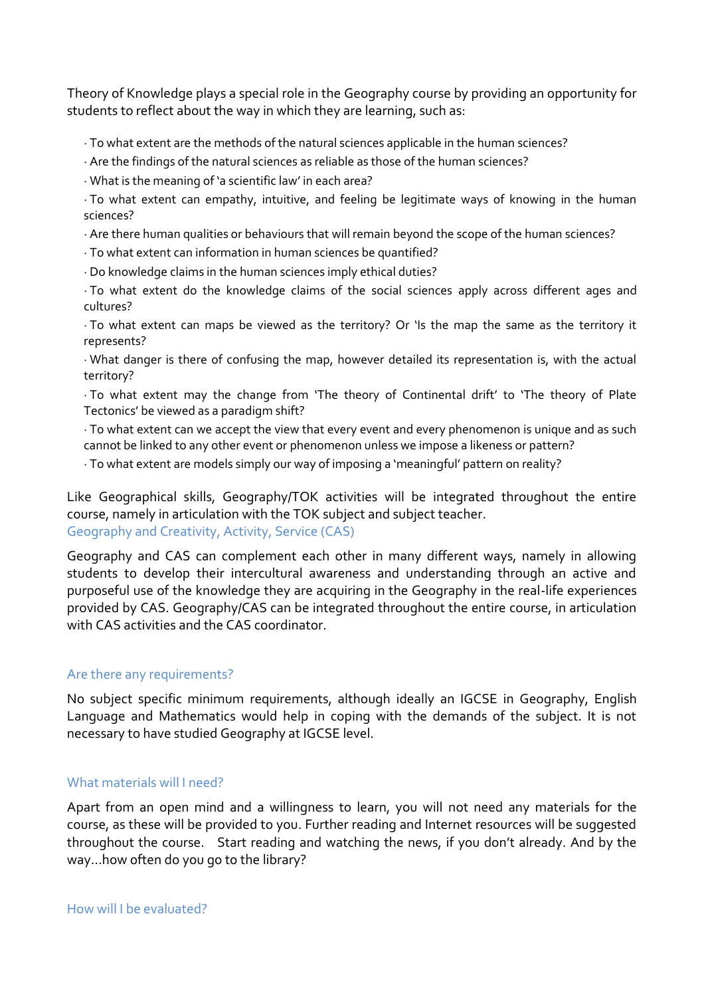Theory of Knowledge plays a special role in the Geography course by providing an opportunity for students to reflect about the way in which they are learning, such as:

- · To what extent are the methods of the natural sciences applicable in the human sciences?
- · Are the findings of the natural sciences as reliable as those of the human sciences?
- · What is the meaning of 'a scientific law' in each area?
- · To what extent can empathy, intuitive, and feeling be legitimate ways of knowing in the human sciences?
- · Are there human qualities or behaviours that will remain beyond the scope of the human sciences?
- · To what extent can information in human sciences be quantified?
- · Do knowledge claims in the human sciences imply ethical duties?
- · To what extent do the knowledge claims of the social sciences apply across different ages and cultures?
- · To what extent can maps be viewed as the territory? Or 'Is the map the same as the territory it represents?
- · What danger is there of confusing the map, however detailed its representation is, with the actual territory?
- · To what extent may the change from 'The theory of Continental drift' to 'The theory of Plate Tectonics' be viewed as a paradigm shift?
- · To what extent can we accept the view that every event and every phenomenon is unique and as such cannot be linked to any other event or phenomenon unless we impose a likeness or pattern?
- · To what extent are models simply our way of imposing a 'meaningful' pattern on reality?

Like Geographical skills, Geography/TOK activities will be integrated throughout the entire course, namely in articulation with the TOK subject and subject teacher. Geography and Creativity, Activity, Service (CAS)

Geography and CAS can complement each other in many different ways, namely in allowing students to develop their intercultural awareness and understanding through an active and purposeful use of the knowledge they are acquiring in the Geography in the real-life experiences provided by CAS. Geography/CAS can be integrated throughout the entire course, in articulation with CAS activities and the CAS coordinator.

## Are there any requirements?

No subject specific minimum requirements, although ideally an IGCSE in Geography, English Language and Mathematics would help in coping with the demands of the subject. It is not necessary to have studied Geography at IGCSE level.

## What materials will I need?

Apart from an open mind and a willingness to learn, you will not need any materials for the course, as these will be provided to you. Further reading and Internet resources will be suggested throughout the course. Start reading and watching the news, if you don't already. And by the way…how often do you go to the library?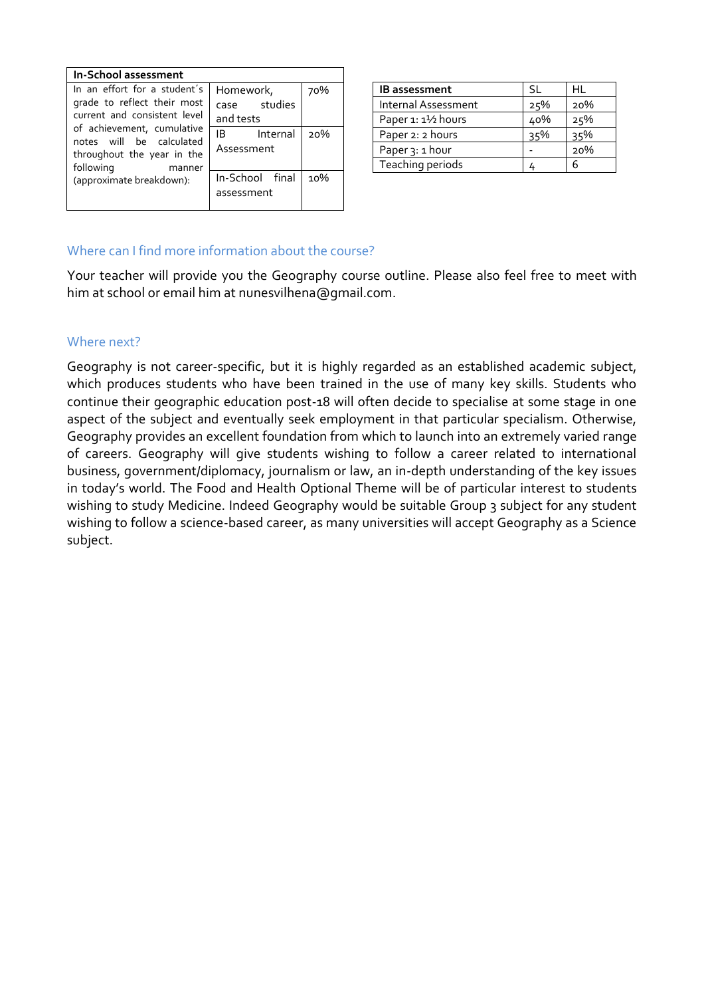| In-School assessment                                                                                                                                                                                                                   |                                        |     |
|----------------------------------------------------------------------------------------------------------------------------------------------------------------------------------------------------------------------------------------|----------------------------------------|-----|
| In an effort for a student's<br>grade to reflect their most<br>current and consistent level<br>of achievement, cumulative<br>notes will be calculated<br>throughout the year in the<br>following<br>manner<br>(approximate breakdown): | Homework,<br>case studies<br>and tests | 70% |
|                                                                                                                                                                                                                                        | IB<br>Internal<br>Assessment           | 2ი% |
|                                                                                                                                                                                                                                        | In-School final<br>assessment          | 10% |

| <b>IB</b> assessment | -SL | HL  |
|----------------------|-----|-----|
| Internal Assessment  | 25% | 20% |
| Paper 1: 11/2 hours  | 40% | 25% |
| Paper 2: 2 hours     | २५% | 35% |
| Paper 3: 1 hour      |     | 20% |
| Teaching periods     |     | h   |

# Where can I find more information about the course?

Your teacher will provide you the Geography course outline. Please also feel free to meet with him at school or email him at nunesvilhena@gmail.com.

#### Where next?

Geography is not career-specific, but it is highly regarded as an established academic subject, which produces students who have been trained in the use of many key skills. Students who continue their geographic education post-18 will often decide to specialise at some stage in one aspect of the subject and eventually seek employment in that particular specialism. Otherwise, Geography provides an excellent foundation from which to launch into an extremely varied range of careers. Geography will give students wishing to follow a career related to international business, government/diplomacy, journalism or law, an in-depth understanding of the key issues in today's world. The Food and Health Optional Theme will be of particular interest to students wishing to study Medicine. Indeed Geography would be suitable Group 3 subject for any student wishing to follow a science-based career, as many universities will accept Geography as a Science subject.